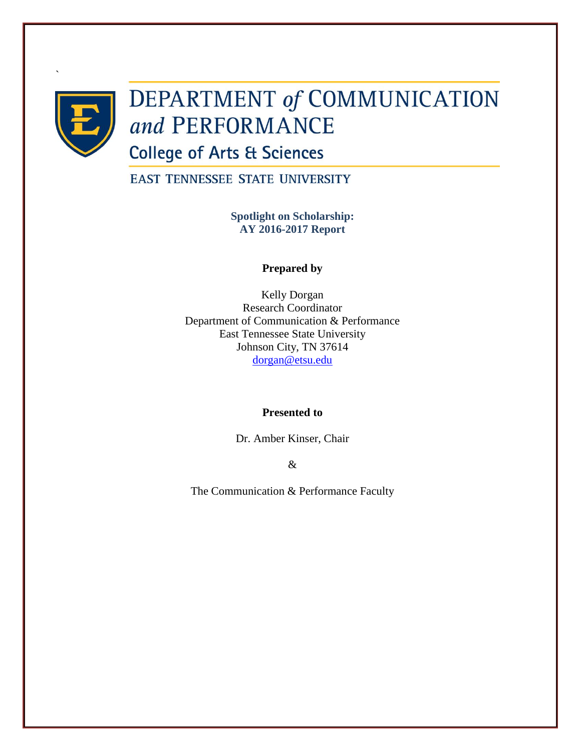

`

# **DEPARTMENT of COMMUNICATION** and PERFORMANCE

**College of Arts & Sciences** 

**EAST TENNESSEE STATE UNIVERSITY** 

**Spotlight on Scholarship: AY 2016-2017 Report**

# **Prepared by**

Kelly Dorgan Research Coordinator Department of Communication & Performance East Tennessee State University Johnson City, TN 37614 [dorgan@etsu.edu](mailto:dorgan@etsu.edu)

# **Presented to**

Dr. Amber Kinser, Chair

&

The Communication & Performance Faculty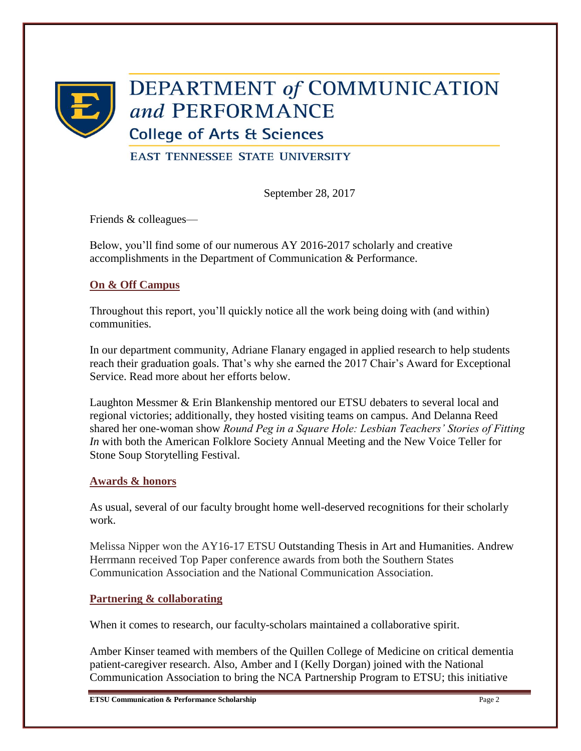

# **DEPARTMENT of COMMUNICATION** and PERFORMANCE

**College of Arts & Sciences** 

**EAST TENNESSEE STATE UNIVERSITY** 

September 28, 2017

Friends & colleagues—

Below, you'll find some of our numerous AY 2016-2017 scholarly and creative accomplishments in the Department of Communication & Performance.

# **On & Off Campus**

Throughout this report, you'll quickly notice all the work being doing with (and within) communities.

In our department community, Adriane Flanary engaged in applied research to help students reach their graduation goals. That's why she earned the 2017 Chair's Award for Exceptional Service. Read more about her efforts below.

Laughton Messmer & Erin Blankenship mentored our ETSU debaters to several local and regional victories; additionally, they hosted visiting teams on campus. And Delanna Reed shared her one-woman show *Round Peg in a Square Hole: Lesbian Teachers' Stories of Fitting In* with both the American Folklore Society Annual Meeting and the New Voice Teller for Stone Soup Storytelling Festival.

# **Awards & honors**

As usual, several of our faculty brought home well-deserved recognitions for their scholarly work.

Melissa Nipper won the AY16-17 ETSU Outstanding Thesis in Art and Humanities. Andrew Herrmann received Top Paper conference awards from both the Southern States Communication Association and the National Communication Association.

# **Partnering & collaborating**

When it comes to research, our faculty-scholars maintained a collaborative spirit.

Amber Kinser teamed with members of the Quillen College of Medicine on critical dementia patient-caregiver research. Also, Amber and I (Kelly Dorgan) joined with the National Communication Association to bring the NCA Partnership Program to ETSU; this initiative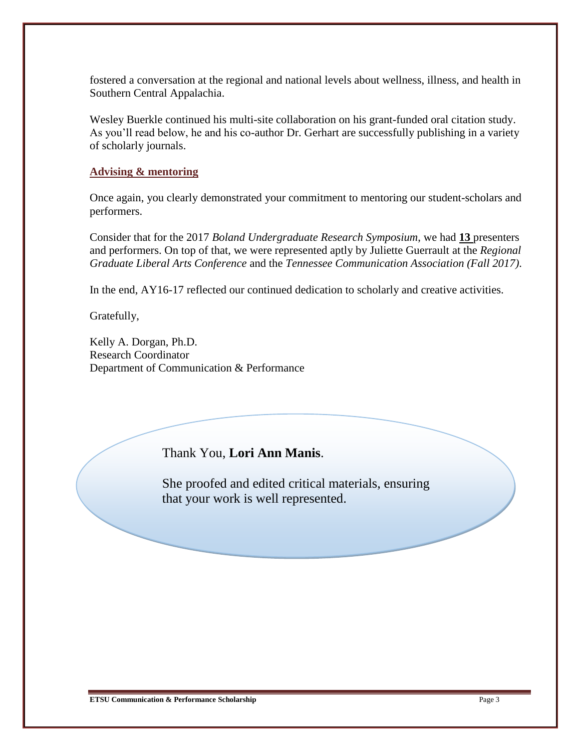fostered a conversation at the regional and national levels about wellness, illness, and health in Southern Central Appalachia.

Wesley Buerkle continued his multi-site collaboration on his grant-funded oral citation study. As you'll read below, he and his co-author Dr. Gerhart are successfully publishing in a variety of scholarly journals.

# **Advising & mentoring**

Once again, you clearly demonstrated your commitment to mentoring our student-scholars and performers.

Consider that for the 2017 *Boland Undergraduate Research Symposium*, we had **13** presenters and performers. On top of that, we were represented aptly by Juliette Guerrault at the *Regional Graduate Liberal Arts Conference* and the *Tennessee Communication Association (Fall 2017)*.

In the end, AY16-17 reflected our continued dedication to scholarly and creative activities.

Gratefully,

Kelly A. Dorgan, Ph.D. Research Coordinator Department of Communication & Performance

# Thank You, **Lori Ann Manis**.

She proofed and edited critical materials, ensuring that your work is well represented.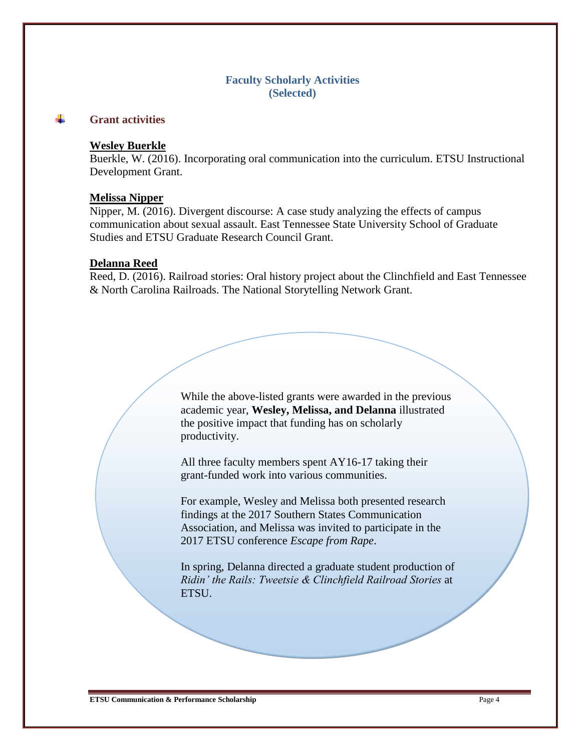# **Faculty Scholarly Activities (Selected)**

#### ÷ **Grant activities**

### **Wesley Buerkle**

Buerkle, W. (2016). Incorporating oral communication into the curriculum. ETSU Instructional Development Grant.

#### **Melissa Nipper**

Nipper, M. (2016). Divergent discourse: A case study analyzing the effects of campus communication about sexual assault. East Tennessee State University School of Graduate Studies and ETSU Graduate Research Council Grant.

#### **Delanna Reed**

Reed, D. (2016). Railroad stories: Oral history project about the Clinchfield and East Tennessee & North Carolina Railroads. The National Storytelling Network Grant.

> While the above-listed grants were awarded in the previous academic year, **Wesley, Melissa, and Delanna** illustrated the positive impact that funding has on scholarly productivity.

All three faculty members spent AY16-17 taking their grant-funded work into various communities.

For example, Wesley and Melissa both presented research findings at the 2017 Southern States Communication Association, and Melissa was invited to participate in the 2017 ETSU conference *Escape from Rape*.

In spring, Delanna directed a graduate student production of *Ridin' the Rails: Tweetsie & Clinchfield Railroad Stories* at ETSU.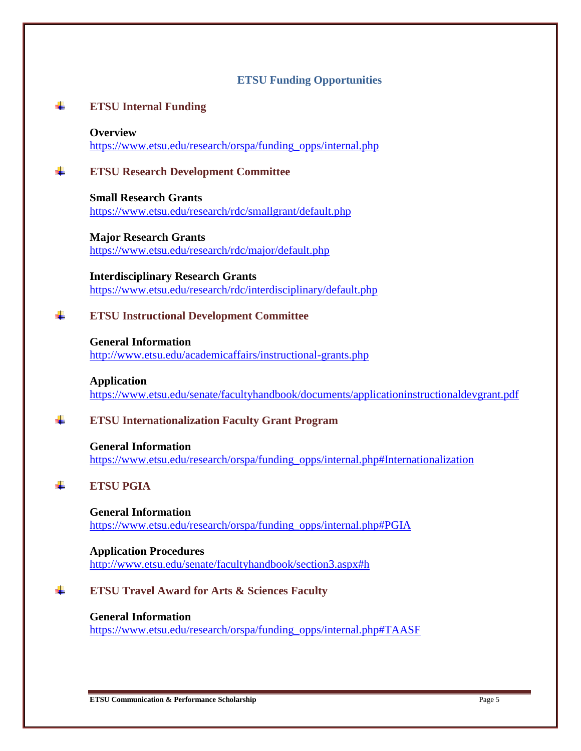# **ETSU Funding Opportunities**

#### ÷ **ETSU Internal Funding**

### **Overview**

[https://www.etsu.edu/research/orspa/funding\\_opps/internal.php](https://www.etsu.edu/research/orspa/funding_opps/internal.php)

#### ÷ **ETSU Research Development Committee**

**Small Research Grants** <https://www.etsu.edu/research/rdc/smallgrant/default.php>

**Major Research Grants** <https://www.etsu.edu/research/rdc/major/default.php>

**Interdisciplinary Research Grants** <https://www.etsu.edu/research/rdc/interdisciplinary/default.php>

#### ÷. **ETSU Instructional Development Committee**

**General Information** <http://www.etsu.edu/academicaffairs/instructional-grants.php>

**Application** <https://www.etsu.edu/senate/facultyhandbook/documents/applicationinstructionaldevgrant.pdf>

#### ÷ **ETSU Internationalization Faculty Grant Program**

**General Information** [https://www.etsu.edu/research/orspa/funding\\_opps/internal.php#Internationalization](https://www.etsu.edu/research/orspa/funding_opps/internal.php#Internationalization)

#### d. **ETSU PGIA**

**General Information**

[https://www.etsu.edu/research/orspa/funding\\_opps/internal.php#PGIA](https://www.etsu.edu/research/orspa/funding_opps/internal.php#PGIA)

**Application Procedures** <http://www.etsu.edu/senate/facultyhandbook/section3.aspx#h>

#### 4. **ETSU Travel Award for Arts & Sciences Faculty**

### **General Information** [https://www.etsu.edu/research/orspa/funding\\_opps/internal.php#TAASF](https://www.etsu.edu/research/orspa/funding_opps/internal.php#TAASF)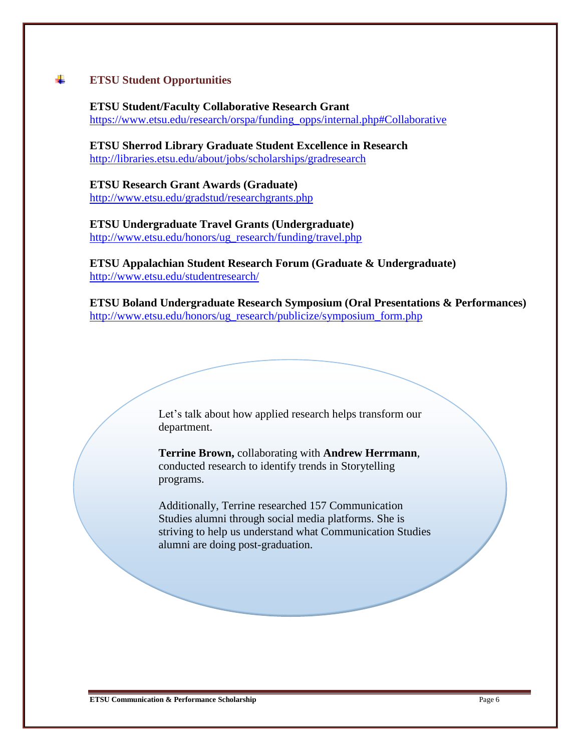#### ÷ **ETSU Student Opportunities**

**ETSU Student/Faculty Collaborative Research Grant** [https://www.etsu.edu/research/orspa/funding\\_opps/internal.php#Collaborative](https://www.etsu.edu/research/orspa/funding_opps/internal.php#Collaborative)

**ETSU Sherrod Library Graduate Student Excellence in Research** <http://libraries.etsu.edu/about/jobs/scholarships/gradresearch>

**ETSU Research Grant Awards (Graduate)** <http://www.etsu.edu/gradstud/researchgrants.php>

**ETSU Undergraduate Travel Grants (Undergraduate)** [http://www.etsu.edu/honors/ug\\_research/funding/travel.php](http://www.etsu.edu/honors/ug_research/funding/travel.php)

**ETSU Appalachian Student Research Forum (Graduate & Undergraduate)** <http://www.etsu.edu/studentresearch/>

**ETSU Boland Undergraduate Research Symposium (Oral Presentations & Performances)** [http://www.etsu.edu/honors/ug\\_research/publicize/symposium\\_form.php](http://www.etsu.edu/honors/ug_research/publicize/symposium_form.php)

> Let's talk about how applied research helps transform our department.

> **Terrine Brown,** collaborating with **Andrew Herrmann**, conducted research to identify trends in Storytelling programs.

Additionally, Terrine researched 157 Communication Studies alumni through social media platforms. She is striving to help us understand what Communication Studies alumni are doing post-graduation.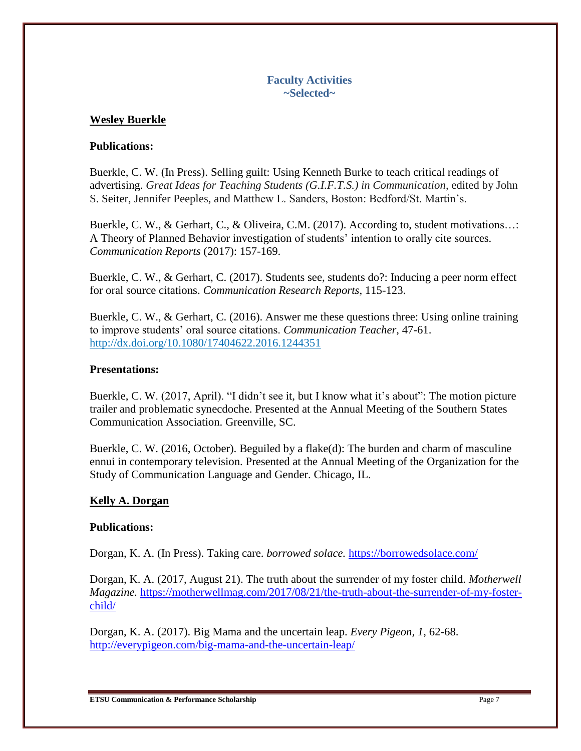# **Faculty Activities ~Selected~**

# **Wesley Buerkle**

# **Publications:**

Buerkle, C. W. (In Press). Selling guilt: Using Kenneth Burke to teach critical readings of advertising. *Great Ideas for Teaching Students (G.I.F.T.S.) in Communication*, edited by John S. Seiter, Jennifer Peeples, and Matthew L. Sanders, Boston: Bedford/St. Martin's.

Buerkle, C. W., & Gerhart, C., & Oliveira, C.M. (2017). According to, student motivations…: A Theory of Planned Behavior investigation of students' intention to orally cite sources. *Communication Reports* (2017): 157-169.

Buerkle, C. W., & Gerhart, C. (2017). Students see, students do?: Inducing a peer norm effect for oral source citations. *Communication Research Reports*, 115-123.

Buerkle, C. W., & Gerhart, C. (2016). Answer me these questions three: Using online training to improve students' oral source citations. *Communication Teacher*, 47-61. <http://dx.doi.org/10.1080/17404622.2016.1244351>

# **Presentations:**

Buerkle, C. W. (2017, April). "I didn't see it, but I know what it's about": The motion picture trailer and problematic synecdoche. Presented at the Annual Meeting of the Southern States Communication Association. Greenville, SC.

Buerkle, C. W. (2016, October). Beguiled by a flake(d): The burden and charm of masculine ennui in contemporary television. Presented at the Annual Meeting of the Organization for the Study of Communication Language and Gender. Chicago, IL.

# **Kelly A. Dorgan**

## **Publications:**

Dorgan, K. A. (In Press). Taking care. *borrowed solace.* <https://borrowedsolace.com/>

Dorgan, K. A. (2017, August 21). The truth about the surrender of my foster child. *Motherwell Magazine.* [https://motherwellmag.com/2017/08/21/the-truth-about-the-surrender-of-my-foster](https://motherwellmag.com/2017/08/21/the-truth-about-the-surrender-of-my-foster-child/)[child/](https://motherwellmag.com/2017/08/21/the-truth-about-the-surrender-of-my-foster-child/) 

Dorgan, K. A. (2017). Big Mama and the uncertain leap. *Every Pigeon, 1*, 62-68. <http://everypigeon.com/big-mama-and-the-uncertain-leap/>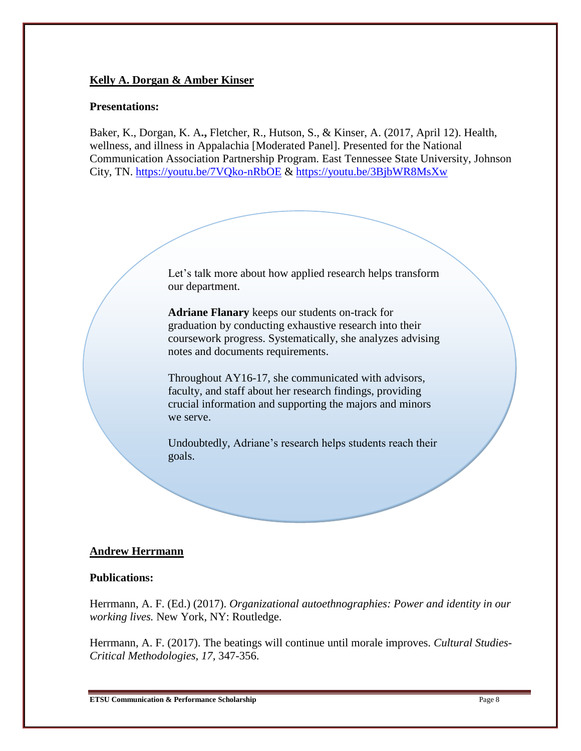# **Kelly A. Dorgan & Amber Kinser**

## **Presentations:**

Baker, K., Dorgan, K. A**.,** Fletcher, R., Hutson, S., & Kinser, A. (2017, April 12). Health, wellness, and illness in Appalachia [Moderated Panel]. Presented for the National Communication Association Partnership Program. East Tennessee State University, Johnson City, TN.<https://youtu.be/7VQko-nRbOE> &<https://youtu.be/3BjbWR8MsXw>

> Let's talk more about how applied research helps transform our department.

> **Adriane Flanary** keeps our students on-track for graduation by conducting exhaustive research into their coursework progress. Systematically, she analyzes advising notes and documents requirements.

Throughout AY16-17, she communicated with advisors, faculty, and staff about her research findings, providing crucial information and supporting the majors and minors we serve.

Undoubtedly, Adriane's research helps students reach their goals.

### **Andrew Herrmann**

### **Publications:**

Herrmann, A. F. (Ed.) (2017). *Organizational autoethnographies: Power and identity in our working lives.* New York, NY: Routledge.

Herrmann, A. F. (2017). The beatings will continue until morale improves. *Cultural Studies-Critical Methodologies, 17,* 347-356.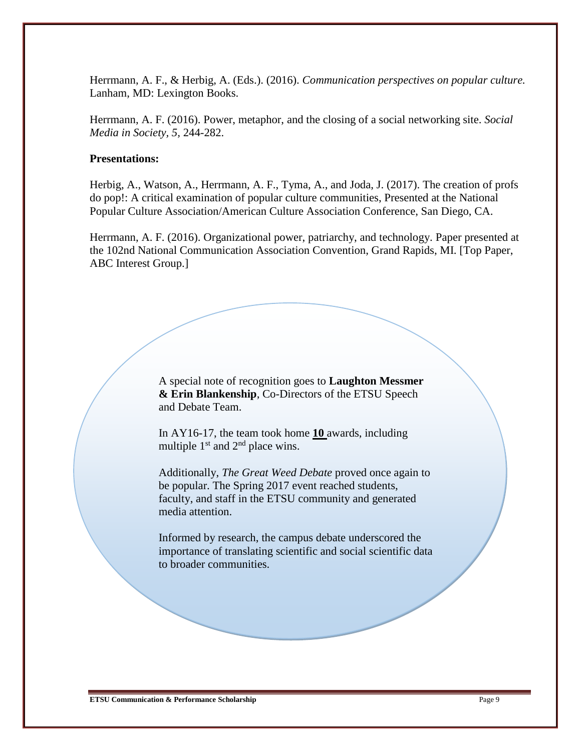Herrmann, A. F., & Herbig, A. (Eds.). (2016). *Communication perspectives on popular culture.* Lanham, MD: Lexington Books.

Herrmann, A. F. (2016). Power, metaphor, and the closing of a social networking site. *Social Media in Society, 5,* 244-282.

## **Presentations:**

Herbig, A., Watson, A., Herrmann, A. F., Tyma, A., and Joda, J. (2017). The creation of profs do pop!: A critical examination of popular culture communities, Presented at the National Popular Culture Association/American Culture Association Conference, San Diego, CA.

Herrmann, A. F. (2016). Organizational power, patriarchy, and technology. Paper presented at the 102nd National Communication Association Convention, Grand Rapids, MI. [Top Paper, ABC Interest Group.]

> A special note of recognition goes to **Laughton Messmer & Erin Blankenship**, Co-Directors of the ETSU Speech and Debate Team.

In AY16-17, the team took home **10** awards, including multiple  $1<sup>st</sup>$  and  $2<sup>nd</sup>$  place wins.

Additionally, *The Great Weed Debate* proved once again to be popular. The Spring 2017 event reached students, faculty, and staff in the ETSU community and generated media attention.

Informed by research, the campus debate underscored the importance of translating scientific and social scientific data to broader communities.